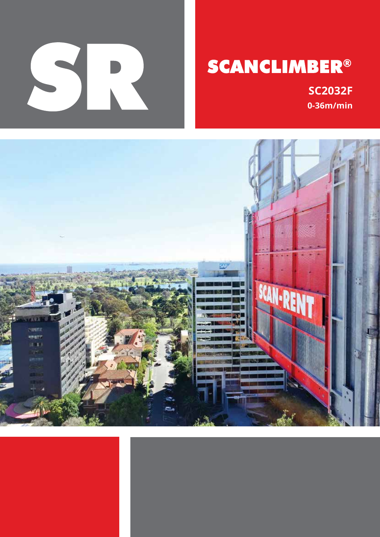

# **SCANCLIMBER®**

**SC2032F**  $0-36m/min$ 

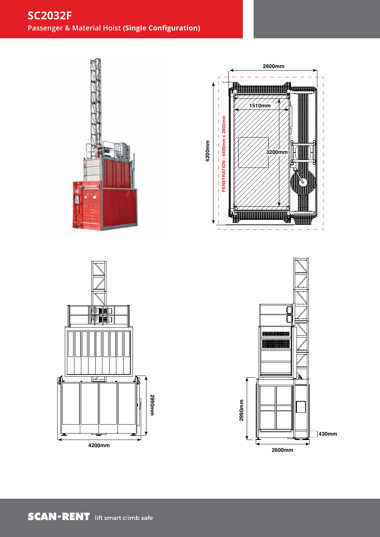# **SC2032F Passenger & Material Hoist (Single Configuration)**



SRA-SC2032/1 Rev 01 SC2032 Single Configuration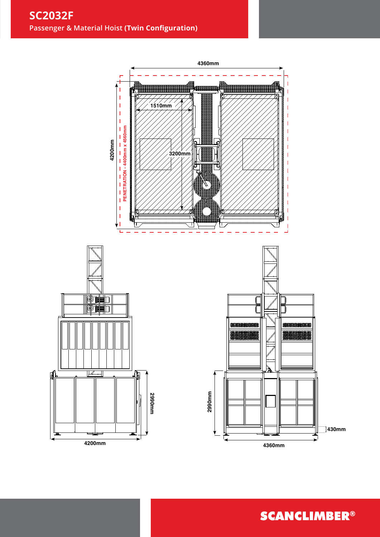

**SCANCLIMBER®**